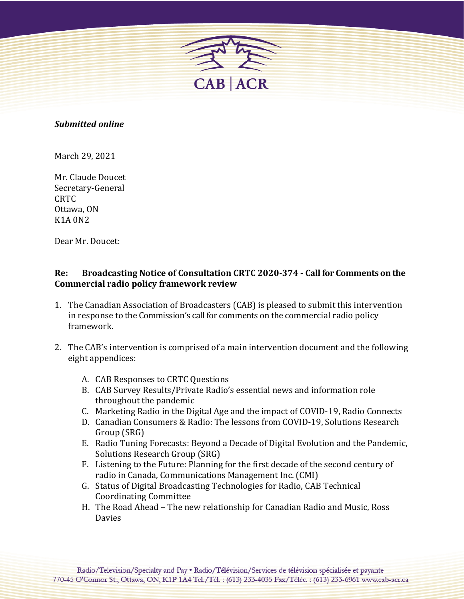

## *Submitted online*

March 29, 2021

Mr. Claude Doucet Secretary-General CRTC Ottawa, ON K<sub>1</sub>A 0<sub>N2</sub>

Dear Mr. Doucet:

## Re: Broadcasting Notice of Consultation CRTC 2020-374 - Call for Comments on the **Commercial radio policy framework review**

- 1. The Canadian Association of Broadcasters (CAB) is pleased to submit this intervention in response to the Commission's call for comments on the commercial radio policy framework.
- 2. The CAB's intervention is comprised of a main intervention document and the following eight appendices:
	- A. CAB Responses to CRTC Questions
	- B. CAB Survey Results/Private Radio's essential news and information role throughout the pandemic
	- C. Marketing Radio in the Digital Age and the impact of COVID-19, Radio Connects
	- D. Canadian Consumers & Radio: The lessons from COVID-19, Solutions Research Group (SRG)
	- E. Radio Tuning Forecasts: Beyond a Decade of Digital Evolution and the Pandemic, Solutions Research Group (SRG)
	- F. Listening to the Future: Planning for the first decade of the second century of radio in Canada, Communications Management Inc. (CMI)
	- G. Status of Digital Broadcasting Technologies for Radio, CAB Technical Coordinating Committee
	- H. The Road Ahead The new relationship for Canadian Radio and Music, Ross Davies